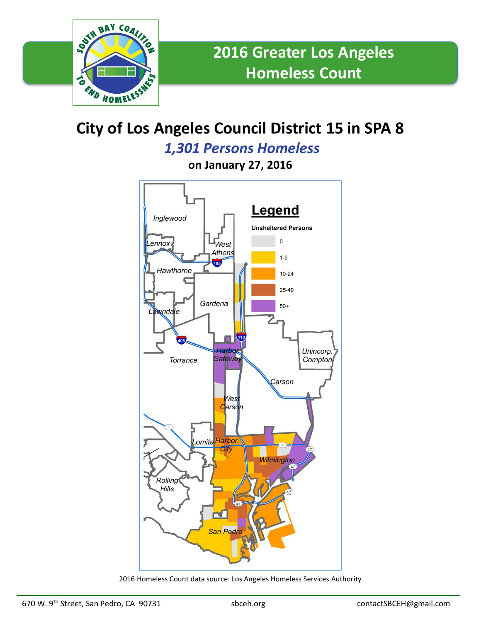

## **City of Los Angeles Council District 15 in SPA 8**

*1,301 Persons Homeless*

**on January 27, 2016**



2016 Homeless Count data source: Los Angeles Homeless Services Authority